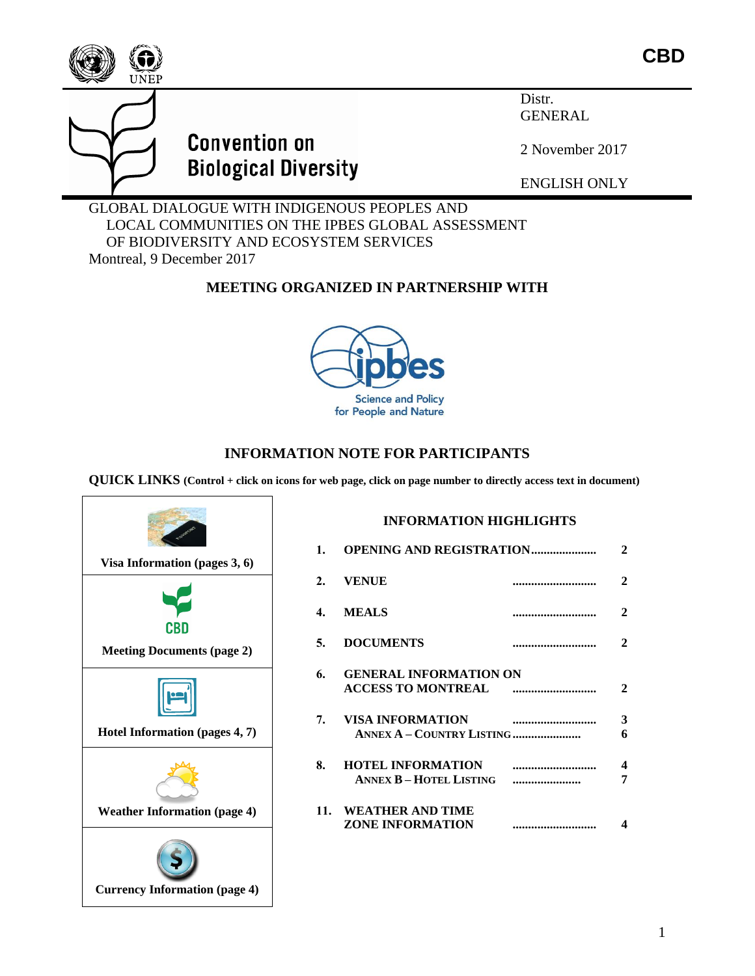



**Convention on Biological Diversity**  Distr. GENERAL

2 November 2017

ENGLISH ONLY

GLOBAL DIALOGUE WITH INDIGENOUS PEOPLES AND LOCAL COMMUNITIES ON THE IPBES GLOBAL ASSESSMENT OF BIODIVERSITY AND ECOSYSTEM SERVICES Montreal, 9 December 2017

# **MEETING ORGANIZED IN PARTNERSHIP WITH**



# **INFORMATION NOTE FOR PARTICIPANTS**

**QUICK LINKS (Control + click on icons for web page, click on page number to directly access text in document)**



## **INFORMATION HIGHLIGHTS**

|    |                                                            |  | $\overline{2}$               |
|----|------------------------------------------------------------|--|------------------------------|
| 2. | <b>VENUE</b>                                               |  | $\overline{2}$               |
|    | 4. MEALS                                                   |  | $\overline{2}$               |
|    | <b>5. DOCUMENTS</b>                                        |  | $\overline{2}$               |
| 6. | <b>GENERAL INFORMATION ON</b><br><b>ACCESS TO MONTREAL</b> |  | $\overline{2}$               |
|    | <b>ANNEX A - COUNTRY LISTING </b>                          |  | 3<br>6                       |
| 8. | <b>HOTEL INFORMATION</b>                                   |  | $\overline{\mathbf{4}}$<br>7 |
|    | 11. WEATHER AND TIME<br><b>ZONE INFORMATION</b>            |  | 4                            |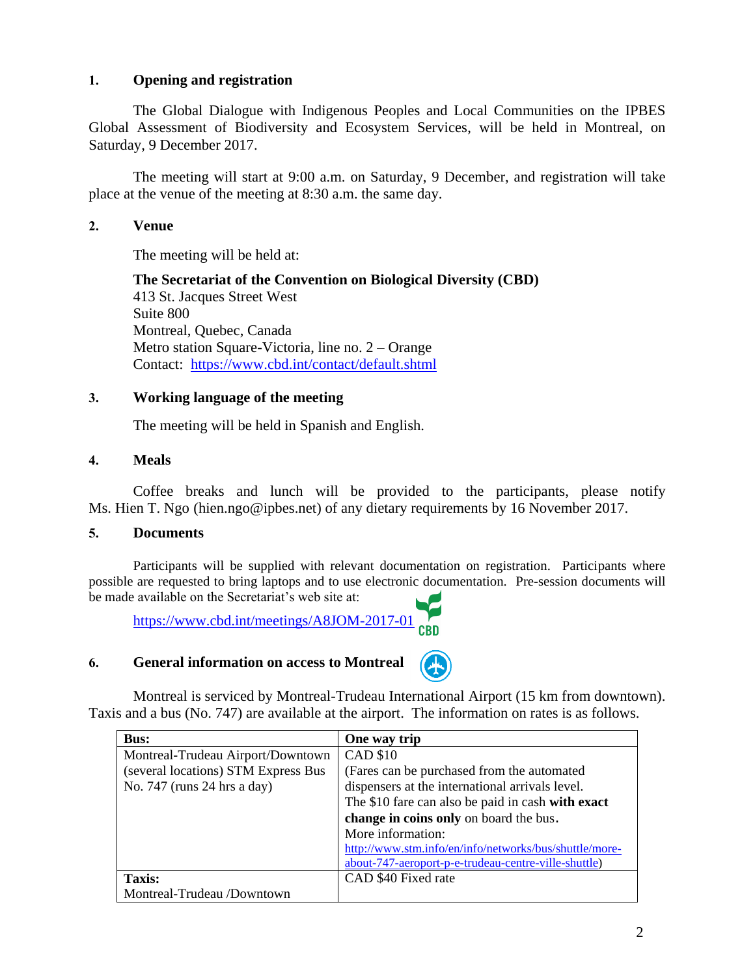## **1. Opening and registration**

The Global Dialogue with Indigenous Peoples and Local Communities on the IPBES Global Assessment of Biodiversity and Ecosystem Services, will be held in Montreal, on Saturday, 9 December 2017.

The meeting will start at 9:00 a.m. on Saturday, 9 December, and registration will take place at the venue of the meeting at 8:30 a.m. the same day.

## **2. Venue**

The meeting will be held at:

**The Secretariat of the Convention on Biological Diversity (CBD)** 413 St. Jacques Street West Suite 800 Montreal, Quebec, Canada Metro station Square-Victoria, line no. 2 – Orange Contact: <https://www.cbd.int/contact/default.shtml>

## **3. Working language of the meeting**

The meeting will be held in Spanish and English.

## **4. Meals**

Coffee breaks and lunch will be provided to the participants, please notify Ms. Hien T. Ngo [\(hien.ngo@ipbes.net\)](mailto:hien.ngo@ipbes.net) of any dietary requirements by 16 November 2017.

## <span id="page-1-0"></span>**5. Documents**

Participants will be supplied with relevant documentation on registration. Participants where possible are requested to bring laptops and to use electronic documentation. Pre-session documents will be made available on the Secretariat's web site at:

<https://www.cbd.int/meetings/A8JOM-2017-01>

## **6. General information on access to Montreal**



| <b>Bus:</b>                         | One way trip                                           |
|-------------------------------------|--------------------------------------------------------|
| Montreal-Trudeau Airport/Downtown   | <b>CAD \$10</b>                                        |
| (several locations) STM Express Bus | (Fares can be purchased from the automated             |
| No. 747 (runs 24 hrs a day)         | dispensers at the international arrivals level.        |
|                                     | The \$10 fare can also be paid in cash with exact      |
|                                     | change in coins only on board the bus.                 |
|                                     | More information:                                      |
|                                     | http://www.stm.info/en/info/networks/bus/shuttle/more- |
|                                     | about-747-aeroport-p-e-trudeau-centre-ville-shuttle)   |
| Taxis:                              | CAD \$40 Fixed rate                                    |
| Montreal-Trudeau /Downtown          |                                                        |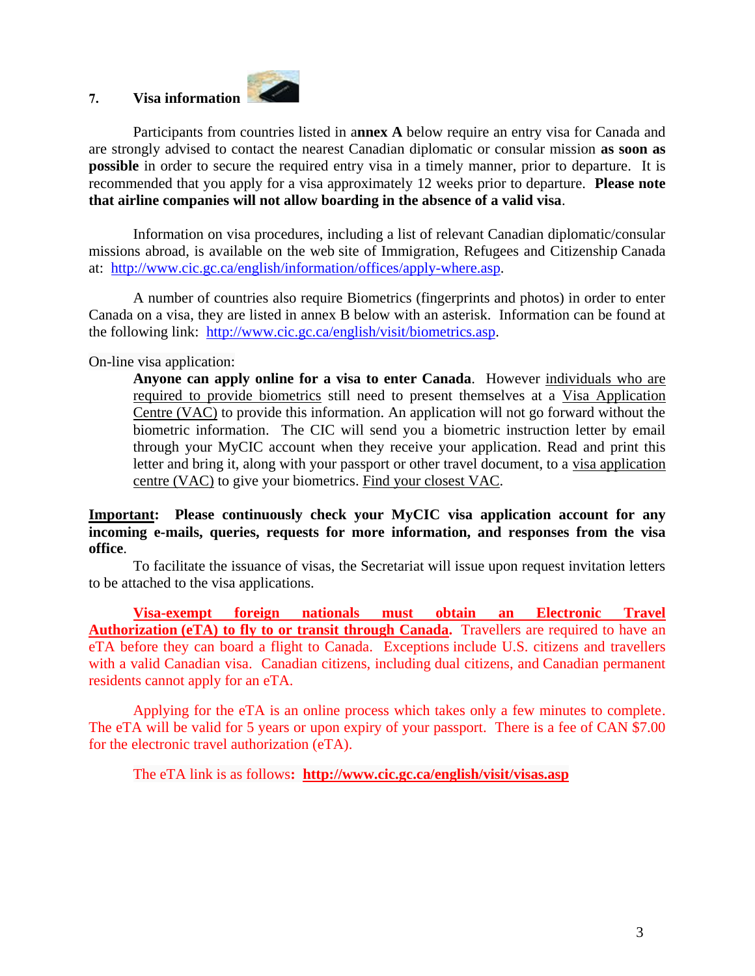# <span id="page-2-0"></span>**7. Visa information**



Participants from countries listed in a**nnex A** below require an entry visa for Canada and are strongly advised to contact the nearest Canadian diplomatic or consular mission **as soon as possible** in order to secure the required entry visa in a timely manner, prior to departure. It is recommended that you apply for a visa approximately 12 weeks prior to departure. **Please note that airline companies will not allow boarding in the absence of a valid visa**.

Information on visa procedures, including a list of relevant Canadian diplomatic/consular missions abroad, is available on the web site of Immigration, Refugees and Citizenship Canada at: [http://www.cic.gc.ca/english/information/offices/apply-where.asp.](http://www.cic.gc.ca/english/information/offices/apply-where.asp)

A number of countries also require Biometrics (fingerprints and photos) in order to enter Canada on a visa, they are listed in annex B below with an asterisk. Information can be found at the following link: [http://www.cic.gc.ca/english/visit/biometrics.asp.](http://www.cic.gc.ca/english/visit/biometrics.asp)

## On-line visa application:

**Anyone can apply online for a visa to enter Canada**. However [individuals who are](http://www.cic.gc.ca/english/visit/biometrics.asp)  [required to provide biometrics](http://www.cic.gc.ca/english/visit/biometrics.asp) still need to present themselves at a [Visa Application](http://www.cic.gc.ca/english/information/offices/vac.asp)  [Centre](http://www.cic.gc.ca/english/information/offices/vac.asp) (VAC) to provide this information. An application will not go forward without the biometric information. The CIC will send you a biometric instruction letter by email through your MyCIC account when they receive your application. Read and print this letter and bring it, along with your passport or other travel document, to a [visa application](http://www.cic.gc.ca/english/information/offices/vac.asp)  [centre \(VAC\)](http://www.cic.gc.ca/english/information/offices/vac.asp) to give your biometrics. [Find your closest VAC.](http://www.cic.gc.ca/english/visit/biometrics.asp?expand=map#map)

**Important: Please continuously check your MyCIC visa application account for any incoming e-mails, queries, requests for more information, and responses from the visa office**.

To facilitate the issuance of visas, the Secretariat will issue upon request invitation letters to be attached to the visa applications.

**Visa-exempt foreign nationals must obtain an Electronic Travel Authorization (eTA) to fly to or transit through Canada.** Travellers are required to have an eTA before they can board a flight to Canada. Exceptions include U.S. citizens and travellers with a valid Canadian visa. Canadian citizens, including dual citizens, and Canadian permanent residents cannot apply for an eTA.

Applying for the eTA is an online process which takes only a few minutes to complete. The eTA will be valid for 5 years or upon expiry of your passport. There is a fee of CAN \$7.00 for the electronic travel authorization (eTA).

The eTA link is as follows**: <http://www.cic.gc.ca/english/visit/visas.asp>**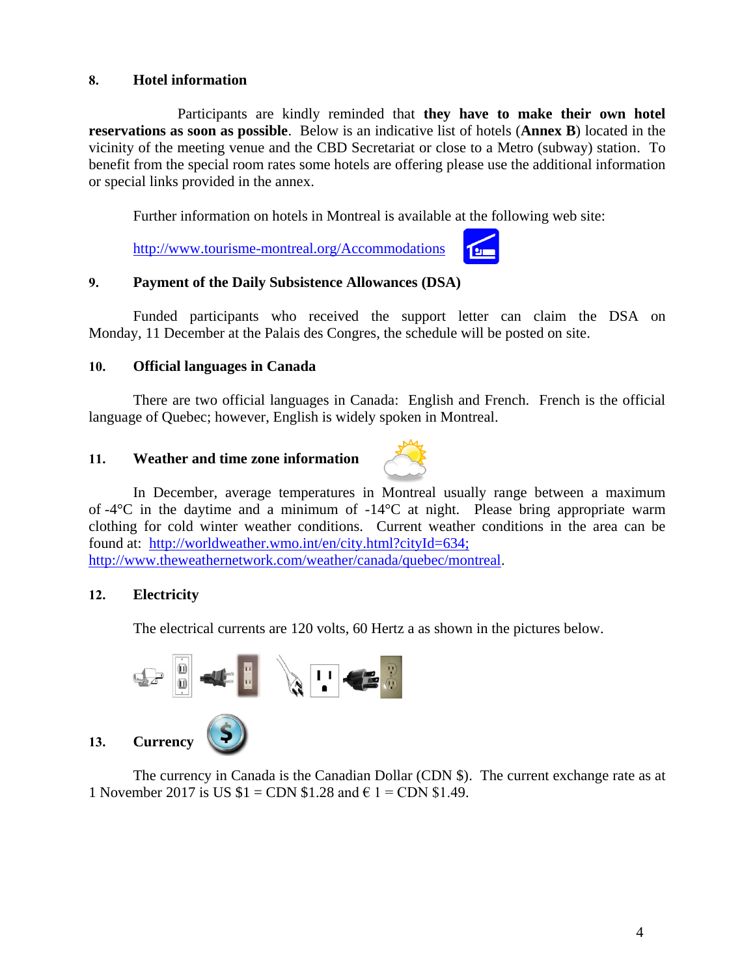## <span id="page-3-0"></span>**8. Hotel information**

Participants are kindly reminded that **they have to make their own hotel reservations as soon as possible**. Below is an indicative list of hotels (**Annex B**) located in the vicinity of the meeting venue and the CBD Secretariat or close to a Metro (subway) station. To benefit from the special room rates some hotels are offering please use the additional information or special links provided in the annex.

Further information on hotels in Montreal is available at the following web site:

<http://www.tourisme-montreal.org/Accommodations>  $\mathbf{H}$ 

# **9. Payment of the Daily Subsistence Allowances (DSA)**

Funded participants who received the support letter can claim the DSA on Monday, 11 December at the Palais des Congres, the schedule will be posted on site.

## **10. Official languages in Canada**

There are two official languages in Canada: English and French. French is the official language of Quebec; however, English is widely spoken in Montreal.

## <span id="page-3-1"></span>**11. Weather and time zone information**



In December, average temperatures in Montreal usually range between a maximum of  $-4^{\circ}$ C in the daytime and a minimum of  $-14^{\circ}$ C at night. Please bring appropriate warm clothing for cold winter weather conditions. Current weather conditions in the area can be found at: [http://worldweather.wmo.int/en/city.html?cityId=634;](http://worldweather.wmo.int/en/city.html?cityId=634)

http://www.theweathernetwork.com/weather/canada/quebec/montreal.

# **12. Electricity**

The electrical currents are 120 volts, 60 Hertz a as shown in the pictures below.



<span id="page-3-2"></span>The currency in Canada is the Canadian Dollar (CDN \$). The current exchange rate as at 1 November 2017 is US  $$1 =$  CDN  $$1.28$  and  $$1 =$  CDN  $$1.49$ .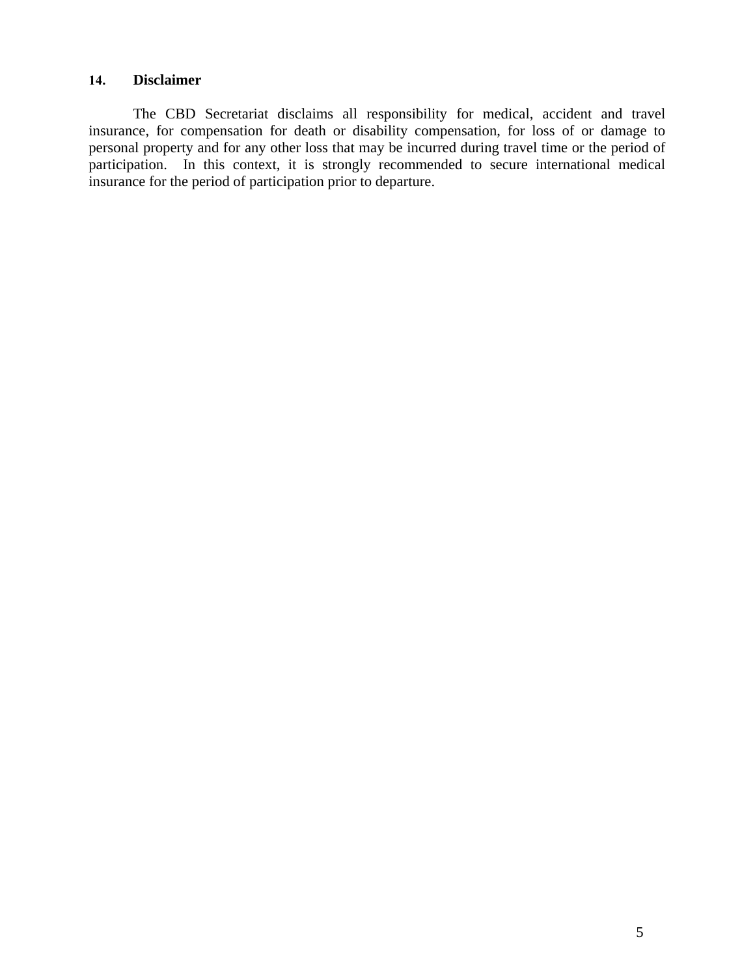## **14. Disclaimer**

The CBD Secretariat disclaims all responsibility for medical, accident and travel insurance, for compensation for death or disability compensation, for loss of or damage to personal property and for any other loss that may be incurred during travel time or the period of participation. In this context, it is strongly recommended to secure international medical insurance for the period of participation prior to departure.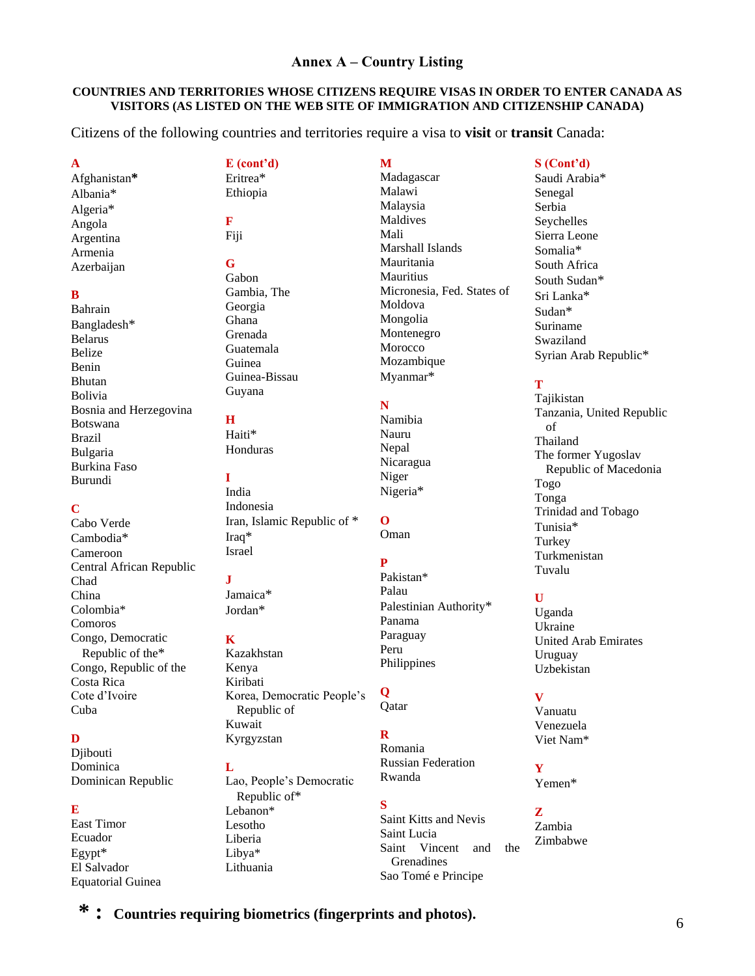## **Annex A – Country Listing**

#### <span id="page-5-0"></span>**COUNTRIES AND TERRITORIES WHOSE CITIZENS REQUIRE VISAS IN ORDER TO ENTER CANADA AS VISITORS (AS LISTED ON THE WEB SITE OF IMMIGRATION AND CITIZENSHIP CANADA)**

Citizens of the following countries and territories require a visa to **visit** or **transit** Canada:

**A** Afghanistan**\*** Albania\* Algeria\* Angola Argentina Armenia **Azerbaijan** 

#### **B**

Bahrain Bangladesh\* Belarus Belize Benin Bhutan Bolivia Bosnia and Herzegovina Botswana Brazil Bulgaria Burkina Faso Burundi

#### **C**

Cabo Verde Cambodia\* Cameroon Central African Republic Chad China Colombia\* Comoros Congo, Democratic Republic of the\* Congo, Republic of the Costa Rica Cote d'Ivoire Cuba

#### **D**

Djibouti Dominica Dominican Republic

#### **E**

East Timor Ecuador Egypt\* El Salvador Equatorial Guinea

#### **E (cont'd)** Eritrea\*

Ethiopia **F** Fiji

### **G**

- Gabon Gambia, The Georgia Ghana Grenada Guatemala Guinea Guinea-Bissau Guyana
- **H** Haiti\*

Honduras

#### **I**

India Indonesia Iran, Islamic Republic of \* Iraq\* Israel

#### **J**  Jamaica\* Jordan\*

**K** 

Kazakhstan Kenya Kiribati Korea, Democratic People's Republic of Kuwait Kyrgyzstan

#### **L**

Lao, People's Democratic Republic of\* Lebanon\* Lesotho Liberia Libya\* Lithuania

**M** Madagascar Malawi Malaysia Maldives Mali Marshall Islands Mauritania **Mauritius** Micronesia, Fed. States of Moldova Mongolia Montenegro Morocco Mozambique Myanmar\*

## **N**

Namibia Nauru Nepal Nicaragua Niger Nigeria\*

**O** Oman

# **P**

Pakistan\* Palau Palestinian Authority\* Panama Paraguay Peru Philippines

**Q** Qatar

**R** Romania Russian Federation Rwanda

## **S**

Saint Kitts and Nevis Saint Lucia Saint Vincent and the Grenadines Sao Tomé e Principe

#### **S (Cont'd)**

Saudi Arabia\* Senegal Serbia **Sevchelles** Sierra Leone Somalia\* South Africa South Sudan\* Sri Lanka\* Sudan\* Suriname Swaziland Syrian Arab Republic\*

## **T**

Tajikistan Tanzania, United Republic of Thailand The former Yugoslav Republic of Macedonia Togo Tonga Trinidad and Tobago Tunisia\* Turkey Turkmenistan Tuvalu

#### **U**

Uganda Ukraine United Arab Emirates Uruguay Uzbekistan

#### **V**

Vanuatu Venezuela Viet Nam\*

**Y** Yemen\*

#### **Z** Zambia

Zimbabwe

**\* : Countries requiring biometrics (fingerprints and photos).**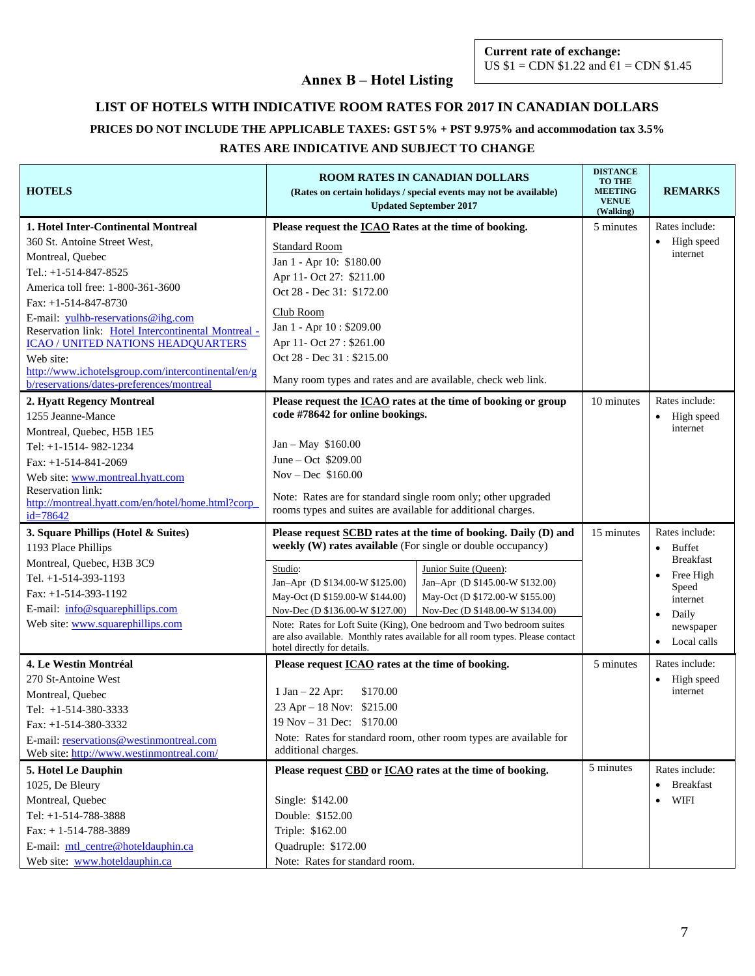# **Annex B – Hotel Listing**

# <span id="page-6-0"></span>**LIST OF HOTELS WITH INDICATIVE ROOM RATES FOR 2017 IN CANADIAN DOLLARS**

# **PRICES DO NOT INCLUDE THE APPLICABLE TAXES: GST 5% + PST 9.975% and accommodation tax 3.5% RATES ARE INDICATIVE AND SUBJECT TO CHANGE**

| <b>ROOM RATES IN CANADIAN DOLLARS</b><br><b>HOTELS</b><br>(Rates on certain holidays / special events may not be available)<br><b>Updated September 2017</b> |                                                                                                               | <b>DISTANCE</b><br><b>TO THE</b><br><b>MEETING</b><br><b>VENUE</b><br>(Walking) | <b>REMARKS</b> |                               |
|--------------------------------------------------------------------------------------------------------------------------------------------------------------|---------------------------------------------------------------------------------------------------------------|---------------------------------------------------------------------------------|----------------|-------------------------------|
| 1. Hotel Inter-Continental Montreal                                                                                                                          | Please request the <b>ICAO</b> Rates at the time of booking.                                                  |                                                                                 | 5 minutes      | Rates include:                |
| 360 St. Antoine Street West,                                                                                                                                 | <b>Standard Room</b>                                                                                          |                                                                                 |                | • High speed                  |
| Montreal, Quebec                                                                                                                                             | Jan 1 - Apr 10: \$180.00                                                                                      |                                                                                 |                | internet                      |
| Tel.: +1-514-847-8525                                                                                                                                        | Apr 11- Oct 27: \$211.00                                                                                      |                                                                                 |                |                               |
| America toll free: 1-800-361-3600                                                                                                                            | Oct 28 - Dec 31: \$172.00                                                                                     |                                                                                 |                |                               |
| Fax: $+1-514-847-8730$                                                                                                                                       |                                                                                                               |                                                                                 |                |                               |
| E-mail: yulhb-reservations@ihg.com                                                                                                                           | Club Room                                                                                                     |                                                                                 |                |                               |
| Reservation link: Hotel Intercontinental Montreal -                                                                                                          | Jan 1 - Apr 10: \$209.00                                                                                      |                                                                                 |                |                               |
| <b>ICAO / UNITED NATIONS HEADQUARTERS</b><br>Web site:                                                                                                       | Apr 11- Oct 27: \$261.00<br>Oct 28 - Dec 31: \$215.00                                                         |                                                                                 |                |                               |
| http://www.ichotelsgroup.com/intercontinental/en/g                                                                                                           |                                                                                                               |                                                                                 |                |                               |
| b/reservations/dates-preferences/montreal                                                                                                                    | Many room types and rates and are available, check web link.                                                  |                                                                                 |                |                               |
| 2. Hyatt Regency Montreal                                                                                                                                    |                                                                                                               | Please request the <b>ICAO</b> rates at the time of booking or group            | 10 minutes     | Rates include:                |
| 1255 Jeanne-Mance                                                                                                                                            | code #78642 for online bookings.                                                                              |                                                                                 |                | • High speed                  |
| Montreal, Quebec, H5B 1E5                                                                                                                                    |                                                                                                               |                                                                                 |                | internet                      |
| Tel: +1-1514- 982-1234                                                                                                                                       | $Jan - May$ \$160.00                                                                                          |                                                                                 |                |                               |
| Fax: $+1-514-841-2069$                                                                                                                                       | June – Oct $$209.00$                                                                                          |                                                                                 |                |                               |
| Web site: www.montreal.hyatt.com                                                                                                                             | Nov – Dec $$160.00$                                                                                           |                                                                                 |                |                               |
| <b>Reservation link:</b>                                                                                                                                     | Note: Rates are for standard single room only; other upgraded                                                 |                                                                                 |                |                               |
| http://montreal.hyatt.com/en/hotel/home.html?corp<br>id=78642                                                                                                | rooms types and suites are available for additional charges.                                                  |                                                                                 |                |                               |
| 3. Square Phillips (Hotel & Suites)                                                                                                                          | Please request SCBD rates at the time of booking. Daily (D) and                                               |                                                                                 | 15 minutes     | Rates include:                |
| 1193 Place Phillips                                                                                                                                          | weekly (W) rates available (For single or double occupancy)                                                   |                                                                                 |                | • Buffet                      |
| Montreal, Quebec, H3B 3C9                                                                                                                                    |                                                                                                               |                                                                                 |                | <b>Breakfast</b>              |
| Tel. +1-514-393-1193                                                                                                                                         | Studio:                                                                                                       | Junior Suite (Queen):                                                           |                | Free High<br>$\bullet$        |
| Fax: +1-514-393-1192                                                                                                                                         | Jan-Apr (D \$134.00-W \$125.00)<br>May-Oct (D \$159.00-W \$144.00)                                            | Jan-Apr (D \$145.00-W \$132.00)<br>May-Oct (D \$172.00-W \$155.00)              |                | Speed                         |
| E-mail: info@squarephillips.com                                                                                                                              | Nov-Dec (D \$136.00-W \$127.00)                                                                               | Nov-Dec (D \$148.00-W \$134.00)                                                 |                | internet                      |
| Web site: www.squarephillips.com                                                                                                                             |                                                                                                               | Note: Rates for Loft Suite (King), One bedroom and Two bedroom suites           |                | Daily<br>newspaper            |
|                                                                                                                                                              | are also available. Monthly rates available for all room types. Please contact<br>hotel directly for details. |                                                                                 |                | Local calls<br>$\bullet$      |
| 4. Le Westin Montréal                                                                                                                                        | Please request ICAO rates at the time of booking.                                                             |                                                                                 | 5 minutes      | Rates include:                |
| 270 St-Antoine West                                                                                                                                          |                                                                                                               |                                                                                 |                | High speed<br>$\bullet$       |
| Montreal, Quebec                                                                                                                                             | $1$ Jan $-$ 22 Apr:<br>\$170.00                                                                               |                                                                                 |                | internet                      |
| 23 Apr $-18$ Nov: \$215.00<br>Tel: +1-514-380-3333                                                                                                           |                                                                                                               |                                                                                 |                |                               |
| Fax: $+1-514-380-3332$                                                                                                                                       | 19 Nov - 31 Dec: \$170.00                                                                                     |                                                                                 |                |                               |
| E-mail: reservations@westinmontreal.com<br>Web site: http://www.westinmontreal.com/                                                                          | Note: Rates for standard room, other room types are available for<br>additional charges.                      |                                                                                 |                |                               |
| 5. Hotel Le Dauphin                                                                                                                                          | Please request CBD or ICAO rates at the time of booking.                                                      |                                                                                 | 5 minutes      | Rates include:                |
| 1025, De Bleury                                                                                                                                              |                                                                                                               |                                                                                 |                | <b>Breakfast</b><br>$\bullet$ |
| Montreal, Quebec<br>Single: \$142.00                                                                                                                         |                                                                                                               |                                                                                 |                | <b>WIFI</b><br>$\bullet$      |
| Double: \$152.00<br>Tel: +1-514-788-3888                                                                                                                     |                                                                                                               |                                                                                 |                |                               |
| $Fax: + 1-514-788-3889$<br>Triple: \$162.00                                                                                                                  |                                                                                                               |                                                                                 |                |                               |
| E-mail: mtl centre@hoteldauphin.ca<br>Quadruple: \$172.00                                                                                                    |                                                                                                               |                                                                                 |                |                               |
| Web site: www.hoteldauphin.ca                                                                                                                                | Note: Rates for standard room.                                                                                |                                                                                 |                |                               |